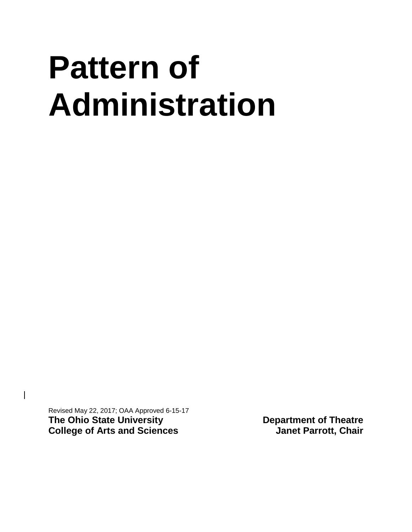# **Pattern of Administration**

Revised May 22, 2017; OAA Approved 6-15-17 **The Ohio State University 6 and Sciences**<br> **Department of Theatre College of Arts and Sciences**<br> **Department of Theatre College of Arts and Sciences College of Arts and Sciences** 

 $\overline{\phantom{a}}$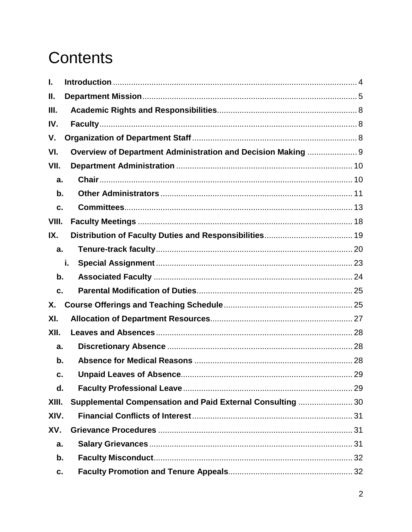## **Contents**

| L.            |                                                              |    |
|---------------|--------------------------------------------------------------|----|
| Ш.            |                                                              |    |
| III.          |                                                              |    |
| IV.           |                                                              |    |
| V.            |                                                              |    |
| VI.           | Overview of Department Administration and Decision Making  9 |    |
| VII.          |                                                              |    |
| a.            |                                                              |    |
| $\mathbf b$ . |                                                              |    |
| C.            |                                                              |    |
| VIII.         |                                                              |    |
| IX.           |                                                              |    |
| a.            |                                                              |    |
|               | i.                                                           |    |
| $b$ .         |                                                              |    |
| c.            |                                                              |    |
| Х.            |                                                              |    |
| XI.           |                                                              |    |
| XII.          |                                                              |    |
| a.            |                                                              |    |
| b.            |                                                              |    |
| c.            |                                                              | 29 |
| d.            |                                                              |    |
| XIII.         | Supplemental Compensation and Paid External Consulting  30   |    |
| XIV.          |                                                              |    |
| XV.           |                                                              |    |
| a.            |                                                              |    |
| $b$ .         |                                                              |    |
| c.            |                                                              |    |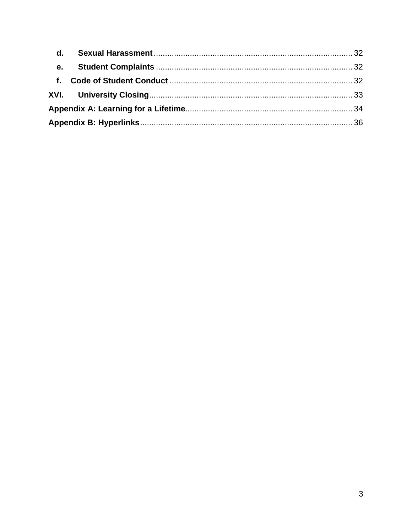| e. |  |
|----|--|
|    |  |
|    |  |
|    |  |
|    |  |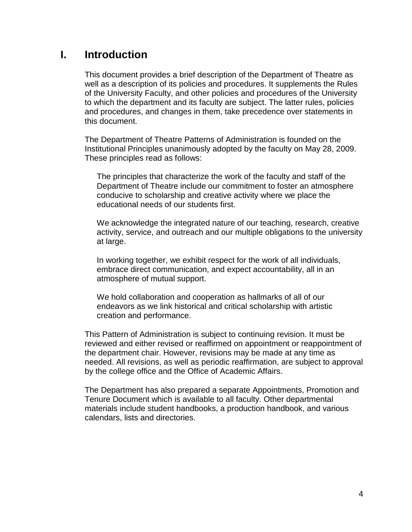## <span id="page-3-0"></span>**I. Introduction**

This document provides a brief description of the Department of Theatre as well as a description of its policies and procedures. It supplements the Rules of the University Faculty, and other policies and procedures of the University to which the department and its faculty are subject. The latter rules, policies and procedures, and changes in them, take precedence over statements in this document.

The Department of Theatre Patterns of Administration is founded on the Institutional Principles unanimously adopted by the faculty on May 28, 2009. These principles read as follows:

The principles that characterize the work of the faculty and staff of the Department of Theatre include our commitment to foster an atmosphere conducive to scholarship and creative activity where we place the educational needs of our students first.

We acknowledge the integrated nature of our teaching, research, creative activity, service, and outreach and our multiple obligations to the university at large.

In working together, we exhibit respect for the work of all individuals, embrace direct communication, and expect accountability, all in an atmosphere of mutual support.

We hold collaboration and cooperation as hallmarks of all of our endeavors as we link historical and critical scholarship with artistic creation and performance.

This Pattern of Administration is subject to continuing revision. It must be reviewed and either revised or reaffirmed on appointment or reappointment of the department chair. However, revisions may be made at any time as needed. All revisions, as well as periodic reaffirmation, are subject to approval by the college office and the Office of Academic Affairs.

The Department has also prepared a separate Appointments, Promotion and Tenure Document which is available to all faculty. Other departmental materials include student handbooks, a production handbook, and various calendars, lists and directories.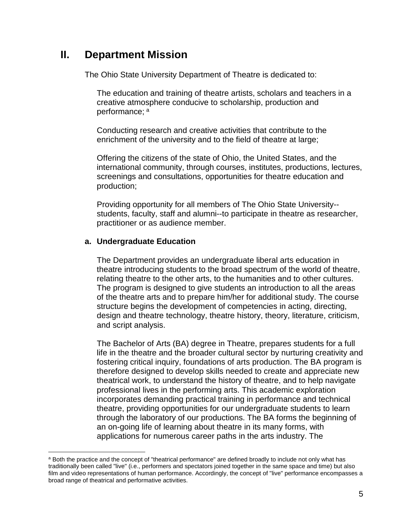## <span id="page-4-0"></span>**II. Department Mission**

The Ohio State University Department of Theatre is dedicated to:

The education and training of theatre artists, scholars and teachers in a creative atmosphere conducive to scholarship, production and perform[a](#page-4-1)nce: a

Conducting research and creative activities that contribute to the enrichment of the university and to the field of theatre at large;

Offering the citizens of the state of Ohio, the United States, and the international community, through courses, institutes, productions, lectures, screenings and consultations, opportunities for theatre education and production;

Providing opportunity for all members of The Ohio State University- students, faculty, staff and alumni--to participate in theatre as researcher, practitioner or as audience member.

#### **a. Undergraduate Education**

The Department provides an undergraduate liberal arts education in theatre introducing students to the broad spectrum of the world of theatre, relating theatre to the other arts, to the humanities and to other cultures. The program is designed to give students an introduction to all the areas of the theatre arts and to prepare him/her for additional study. The course structure begins the development of competencies in acting, directing, design and theatre technology, theatre history, theory, literature, criticism, and script analysis.

The Bachelor of Arts (BA) degree in Theatre, prepares students for a full life in the theatre and the broader cultural sector by nurturing creativity and fostering critical inquiry, foundations of arts production. The BA program is therefore designed to develop skills needed to create and appreciate new theatrical work, to understand the history of theatre, and to help navigate professional lives in the performing arts. This academic exploration incorporates demanding practical training in performance and technical theatre, providing opportunities for our undergraduate students to learn through the laboratory of our productions. The BA forms the beginning of an on-going life of learning about theatre in its many forms, with applications for numerous career paths in the arts industry. The

<span id="page-4-1"></span>a Both the practice and the concept of "theatrical performance" are defined broadly to include not only what has traditionally been called "live" (i.e., performers and spectators joined together in the same space and time) but also film and video representations of human performance. Accordingly, the concept of "live" performance encompasses a broad range of theatrical and performative activities.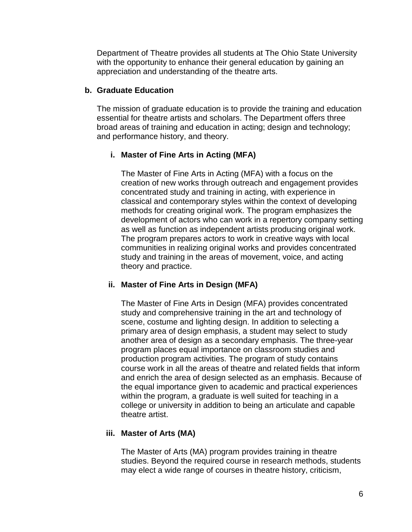Department of Theatre provides all students at The Ohio State University with the opportunity to enhance their general education by gaining an appreciation and understanding of the theatre arts.

#### **b. Graduate Education**

The mission of graduate education is to provide the training and education essential for theatre artists and scholars. The Department offers three broad areas of training and education in acting; design and technology; and performance history, and theory.

#### **i. Master of Fine Arts in Acting (MFA)**

The Master of Fine Arts in Acting (MFA) with a focus on the creation of new works through outreach and engagement provides concentrated study and training in acting, with experience in classical and contemporary styles within the context of developing methods for creating original work. The program emphasizes the development of actors who can work in a repertory company setting as well as function as independent artists producing original work. The program prepares actors to work in creative ways with local communities in realizing original works and provides concentrated study and training in the areas of movement, voice, and acting theory and practice.

#### **ii. Master of Fine Arts in Design (MFA)**

The Master of Fine Arts in Design (MFA) provides concentrated study and comprehensive training in the art and technology of scene, costume and lighting design. In addition to selecting a primary area of design emphasis, a student may select to study another area of design as a secondary emphasis. The three-year program places equal importance on classroom studies and production program activities. The program of study contains course work in all the areas of theatre and related fields that inform and enrich the area of design selected as an emphasis. Because of the equal importance given to academic and practical experiences within the program, a graduate is well suited for teaching in a college or university in addition to being an articulate and capable theatre artist.

#### **iii. Master of Arts (MA)**

The Master of Arts (MA) program provides training in theatre studies. Beyond the required course in research methods, students may elect a wide range of courses in theatre history, criticism,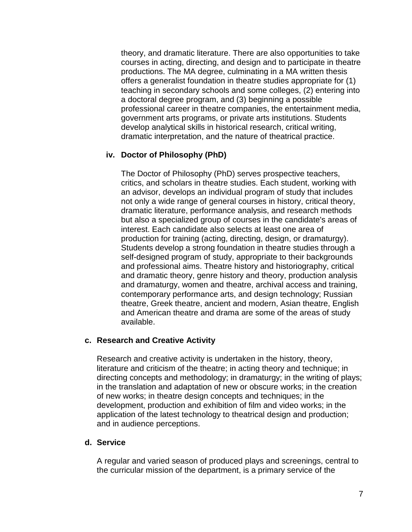theory, and dramatic literature. There are also opportunities to take courses in acting, directing, and design and to participate in theatre productions. The MA degree, culminating in a MA written thesis offers a generalist foundation in theatre studies appropriate for (1) teaching in secondary schools and some colleges, (2) entering into a doctoral degree program, and (3) beginning a possible professional career in theatre companies, the entertainment media, government arts programs, or private arts institutions. Students develop analytical skills in historical research, critical writing, dramatic interpretation, and the nature of theatrical practice.

#### **iv. Doctor of Philosophy (PhD)**

The Doctor of Philosophy (PhD) serves prospective teachers, critics, and scholars in theatre studies. Each student, working with an advisor, develops an individual program of study that includes not only a wide range of general courses in history, critical theory, dramatic literature, performance analysis, and research methods but also a specialized group of courses in the candidate's areas of interest. Each candidate also selects at least one area of production for training (acting, directing, design, or dramaturgy). Students develop a strong foundation in theatre studies through a self-designed program of study, appropriate to their backgrounds and professional aims. Theatre history and historiography, critical and dramatic theory, genre history and theory, production analysis and dramaturgy, women and theatre, archival access and training, contemporary performance arts, and design technology; Russian theatre, Greek theatre, ancient and modern, Asian theatre, English and American theatre and drama are some of the areas of study available.

#### **c. Research and Creative Activity**

Research and creative activity is undertaken in the history, theory, literature and criticism of the theatre; in acting theory and technique; in directing concepts and methodology; in dramaturgy; in the writing of plays; in the translation and adaptation of new or obscure works; in the creation of new works; in theatre design concepts and techniques; in the development, production and exhibition of film and video works; in the application of the latest technology to theatrical design and production; and in audience perceptions.

#### **d. Service**

A regular and varied season of produced plays and screenings, central to the curricular mission of the department, is a primary service of the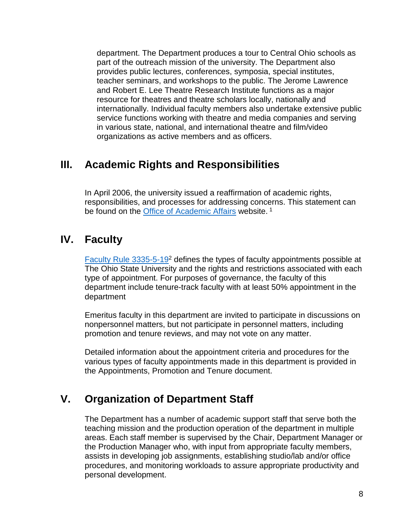department. The Department produces a tour to Central Ohio schools as part of the outreach mission of the university. The Department also provides public lectures, conferences, symposia, special institutes, teacher seminars, and workshops to the public. The Jerome Lawrence and Robert E. Lee Theatre Research Institute functions as a major resource for theatres and theatre scholars locally, nationally and internationally. Individual faculty members also undertake extensive public service functions working with theatre and media companies and serving in various state, national, and international theatre and film/video organizations as active members and as officers.

## <span id="page-7-0"></span>**III. Academic Rights and Responsibilities**

In April 2006, the university issued a reaffirmation of academic rights, responsibilities, and processes for addressing concerns. This statement can be found on the [Office of Academic Affairs](http://oaa.osu.edu/rightsandresponsibilities.html) website.<sup>1</sup>

## <span id="page-7-1"></span>**IV. Faculty**

[Faculty Rule 3335-5-192](http://trustees.osu.edu/rules/university-rules/chapter-3335-5-faculty-governance-and-committees.html) defines the types of faculty appointments possible at The Ohio State University and the rights and restrictions associated with each type of appointment. For purposes of governance, the faculty of this department include tenure-track faculty with at least 50% appointment in the department

Emeritus faculty in this department are invited to participate in discussions on nonpersonnel matters, but not participate in personnel matters, including promotion and tenure reviews, and may not vote on any matter.

Detailed information about the appointment criteria and procedures for the various types of faculty appointments made in this department is provided in the Appointments, Promotion and Tenure document.

## <span id="page-7-2"></span>**V. Organization of Department Staff**

The Department has a number of academic support staff that serve both the teaching mission and the production operation of the department in multiple areas. Each staff member is supervised by the Chair, Department Manager or the Production Manager who, with input from appropriate faculty members, assists in developing job assignments, establishing studio/lab and/or office procedures, and monitoring workloads to assure appropriate productivity and personal development.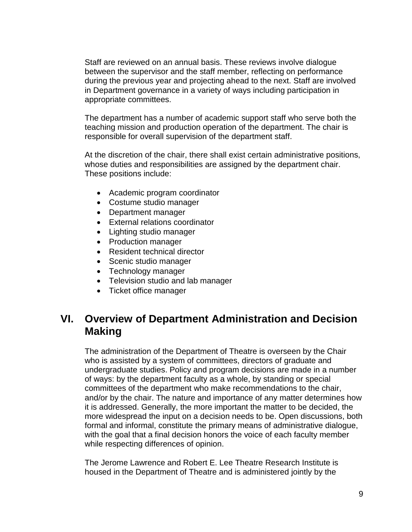Staff are reviewed on an annual basis. These reviews involve dialogue between the supervisor and the staff member, reflecting on performance during the previous year and projecting ahead to the next. Staff are involved in Department governance in a variety of ways including participation in appropriate committees.

The department has a number of academic support staff who serve both the teaching mission and production operation of the department. The chair is responsible for overall supervision of the department staff.

At the discretion of the chair, there shall exist certain administrative positions, whose duties and responsibilities are assigned by the department chair. These positions include:

- Academic program coordinator
- Costume studio manager
- Department manager
- External relations coordinator
- Lighting studio manager
- Production manager
- Resident technical director
- Scenic studio manager
- Technology manager
- Television studio and lab manager
- Ticket office manager

## <span id="page-8-0"></span>**VI. Overview of Department Administration and Decision Making**

The administration of the Department of Theatre is overseen by the Chair who is assisted by a system of committees, directors of graduate and undergraduate studies. Policy and program decisions are made in a number of ways: by the department faculty as a whole, by standing or special committees of the department who make recommendations to the chair, and/or by the chair. The nature and importance of any matter determines how it is addressed. Generally, the more important the matter to be decided, the more widespread the input on a decision needs to be. Open discussions, both formal and informal, constitute the primary means of administrative dialogue, with the goal that a final decision honors the voice of each faculty member while respecting differences of opinion.

The Jerome Lawrence and Robert E. Lee Theatre Research Institute is housed in the Department of Theatre and is administered jointly by the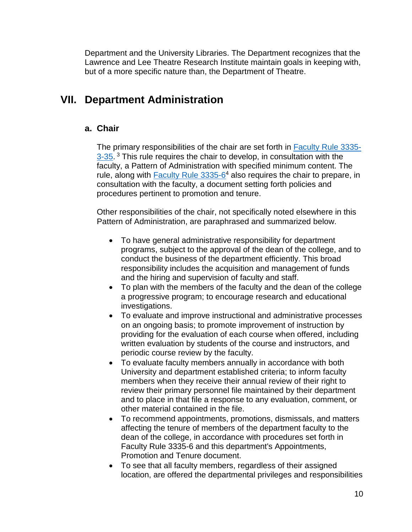Department and the University Libraries. The Department recognizes that the Lawrence and Lee Theatre Research Institute maintain goals in keeping with, but of a more specific nature than, the Department of Theatre.

## <span id="page-9-1"></span><span id="page-9-0"></span>**VII. Department Administration**

#### **a. Chair**

The primary responsibilities of the chair are set forth in [Faculty Rule 3335-](https://trustees.osu.edu/rules/university-rules/chapter-3335-3-administration.html) [3-35.](https://trustees.osu.edu/rules/university-rules/chapter-3335-3-administration.html)<sup>3</sup> This rule requires the chair to develop, in consultation with the faculty, a Pattern of Administration with specified minimum content. The rule, along with Faculty Rule 3335-6<sup>4</sup> also requires the chair to prepare, in consultation with the faculty, a document setting forth policies and procedures pertinent to promotion and tenure.

Other responsibilities of the chair, not specifically noted elsewhere in this Pattern of Administration, are paraphrased and summarized below.

- To have general administrative responsibility for department programs, subject to the approval of the dean of the college, and to conduct the business of the department efficiently. This broad responsibility includes the acquisition and management of funds and the hiring and supervision of faculty and staff.
- To plan with the members of the faculty and the dean of the college a progressive program; to encourage research and educational investigations.
- To evaluate and improve instructional and administrative processes on an ongoing basis; to promote improvement of instruction by providing for the evaluation of each course when offered, including written evaluation by students of the course and instructors, and periodic course review by the faculty.
- To evaluate faculty members annually in accordance with both University and department established criteria; to inform faculty members when they receive their annual review of their right to review their primary personnel file maintained by their department and to place in that file a response to any evaluation, comment, or other material contained in the file.
- To recommend appointments, promotions, dismissals, and matters affecting the tenure of members of the department faculty to the dean of the college, in accordance with procedures set forth in Faculty Rule 3335-6 and this department's Appointments, Promotion and Tenure document.
- To see that all faculty members, regardless of their assigned location, are offered the departmental privileges and responsibilities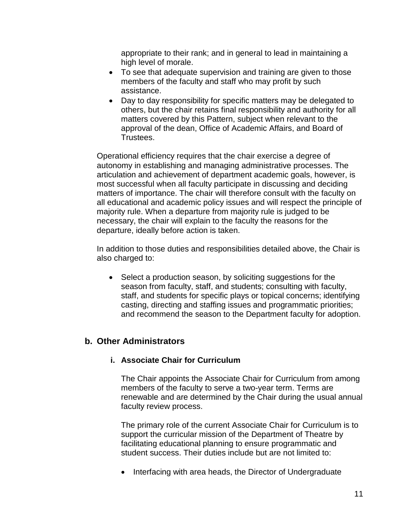appropriate to their rank; and in general to lead in maintaining a high level of morale.

- To see that adequate supervision and training are given to those members of the faculty and staff who may profit by such assistance.
- Day to day responsibility for specific matters may be delegated to others, but the chair retains final responsibility and authority for all matters covered by this Pattern, subject when relevant to the approval of the dean, Office of Academic Affairs, and Board of Trustees.

Operational efficiency requires that the chair exercise a degree of autonomy in establishing and managing administrative processes. The articulation and achievement of department academic goals, however, is most successful when all faculty participate in discussing and deciding matters of importance. The chair will therefore consult with the faculty on all educational and academic policy issues and will respect the principle of majority rule. When a departure from majority rule is judged to be necessary, the chair will explain to the faculty the reasons for the departure, ideally before action is taken.

In addition to those duties and responsibilities detailed above, the Chair is also charged to:

• Select a production season, by soliciting suggestions for the season from faculty, staff, and students; consulting with faculty, staff, and students for specific plays or topical concerns; identifying casting, directing and staffing issues and programmatic priorities; and recommend the season to the Department faculty for adoption.

#### <span id="page-10-0"></span>**b. Other Administrators**

#### **i. Associate Chair for Curriculum**

The Chair appoints the Associate Chair for Curriculum from among members of the faculty to serve a two-year term. Terms are renewable and are determined by the Chair during the usual annual faculty review process.

The primary role of the current Associate Chair for Curriculum is to support the curricular mission of the Department of Theatre by facilitating educational planning to ensure programmatic and student success. Their duties include but are not limited to:

• Interfacing with area heads, the Director of Undergraduate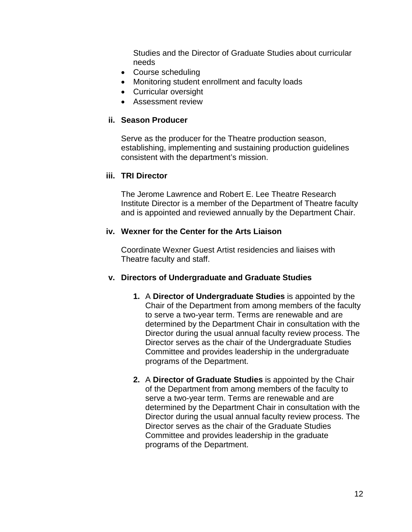Studies and the Director of Graduate Studies about curricular needs

- Course scheduling
- Monitoring student enrollment and faculty loads
- Curricular oversight
- Assessment review

#### **ii. Season Producer**

Serve as the producer for the Theatre production season, establishing, implementing and sustaining production guidelines consistent with the department's mission.

#### **iii. TRI Director**

The Jerome Lawrence and Robert E. Lee Theatre Research Institute Director is a member of the Department of Theatre faculty and is appointed and reviewed annually by the Department Chair.

#### **iv. Wexner for the Center for the Arts Liaison**

Coordinate Wexner Guest Artist residencies and liaises with Theatre faculty and staff.

#### **v. Directors of Undergraduate and Graduate Studies**

- **1.** A **Director of Undergraduate Studies** is appointed by the Chair of the Department from among members of the faculty to serve a two-year term. Terms are renewable and are determined by the Department Chair in consultation with the Director during the usual annual faculty review process. The Director serves as the chair of the Undergraduate Studies Committee and provides leadership in the undergraduate programs of the Department.
- **2.** A **Director of Graduate Studies** is appointed by the Chair of the Department from among members of the faculty to serve a two-year term. Terms are renewable and are determined by the Department Chair in consultation with the Director during the usual annual faculty review process. The Director serves as the chair of the Graduate Studies Committee and provides leadership in the graduate programs of the Department.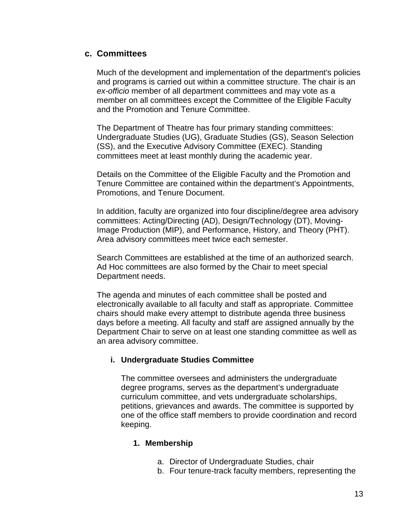#### <span id="page-12-0"></span>**c. Committees**

Much of the development and implementation of the department's policies and programs is carried out within a committee structure. The chair is an *ex-officio* member of all department committees and may vote as a member on all committees except the Committee of the Eligible Faculty and the Promotion and Tenure Committee.

The Department of Theatre has four primary standing committees: Undergraduate Studies (UG), Graduate Studies (GS), Season Selection (SS), and the Executive Advisory Committee (EXEC). Standing committees meet at least monthly during the academic year.

Details on the Committee of the Eligible Faculty and the Promotion and Tenure Committee are contained within the department's Appointments, Promotions, and Tenure Document.

In addition, faculty are organized into four discipline/degree area advisory committees: Acting/Directing (AD), Design/Technology (DT), Moving-Image Production (MIP), and Performance, History, and Theory (PHT). Area advisory committees meet twice each semester.

Search Committees are established at the time of an authorized search. Ad Hoc committees are also formed by the Chair to meet special Department needs.

The agenda and minutes of each committee shall be posted and electronically available to all faculty and staff as appropriate. Committee chairs should make every attempt to distribute agenda three business days before a meeting. All faculty and staff are assigned annually by the Department Chair to serve on at least one standing committee as well as an area advisory committee.

#### **i. Undergraduate Studies Committee**

The committee oversees and administers the undergraduate degree programs, serves as the department's undergraduate curriculum committee, and vets undergraduate scholarships, petitions, grievances and awards. The committee is supported by one of the office staff members to provide coordination and record keeping.

#### **1. Membership**

- a. Director of Undergraduate Studies, chair
- b. Four tenure-track faculty members, representing the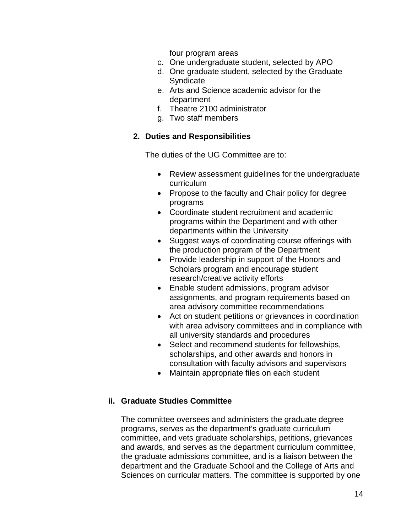four program areas

- c. One undergraduate student, selected by APO
- d. One graduate student, selected by the Graduate **Syndicate**
- e. Arts and Science academic advisor for the department
- f. Theatre 2100 administrator
- g. Two staff members

#### **2. Duties and Responsibilities**

The duties of the UG Committee are to:

- Review assessment guidelines for the undergraduate curriculum
- Propose to the faculty and Chair policy for degree programs
- Coordinate student recruitment and academic programs within the Department and with other departments within the University
- Suggest ways of coordinating course offerings with the production program of the Department
- Provide leadership in support of the Honors and Scholars program and encourage student research/creative activity efforts
- Enable student admissions, program advisor assignments, and program requirements based on area advisory committee recommendations
- Act on student petitions or grievances in coordination with area advisory committees and in compliance with all university standards and procedures
- Select and recommend students for fellowships, scholarships, and other awards and honors in consultation with faculty advisors and supervisors
- Maintain appropriate files on each student

#### **ii. Graduate Studies Committee**

The committee oversees and administers the graduate degree programs, serves as the department's graduate curriculum committee, and vets graduate scholarships, petitions, grievances and awards, and serves as the department curriculum committee, the graduate admissions committee, and is a liaison between the department and the Graduate School and the College of Arts and Sciences on curricular matters. The committee is supported by one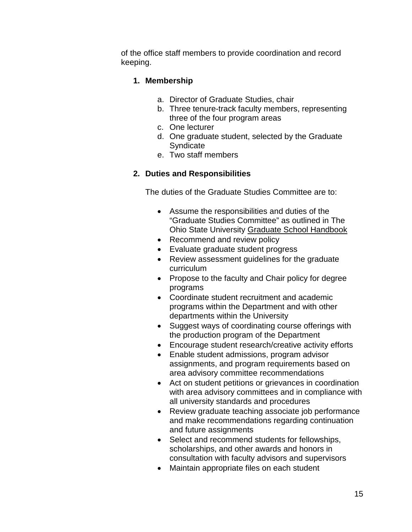of the office staff members to provide coordination and record keeping.

#### **1. Membership**

- a. Director of Graduate Studies, chair
- b. Three tenure-track faculty members, representing three of the four program areas
- c. One lecturer
- d. One graduate student, selected by the Graduate **Syndicate**
- e. Two staff members

#### **2. Duties and Responsibilities**

The duties of the Graduate Studies Committee are to:

- Assume the responsibilities and duties of the "Graduate Studies Committee" as outlined in The Ohio State University Graduate School Handbook
- Recommend and review policy
- Evaluate graduate student progress
- Review assessment guidelines for the graduate curriculum
- Propose to the faculty and Chair policy for degree programs
- Coordinate student recruitment and academic programs within the Department and with other departments within the University
- Suggest ways of coordinating course offerings with the production program of the Department
- Encourage student research/creative activity efforts
- Enable student admissions, program advisor assignments, and program requirements based on area advisory committee recommendations
- Act on student petitions or grievances in coordination with area advisory committees and in compliance with all university standards and procedures
- Review graduate teaching associate job performance and make recommendations regarding continuation and future assignments
- Select and recommend students for fellowships, scholarships, and other awards and honors in consultation with faculty advisors and supervisors
- Maintain appropriate files on each student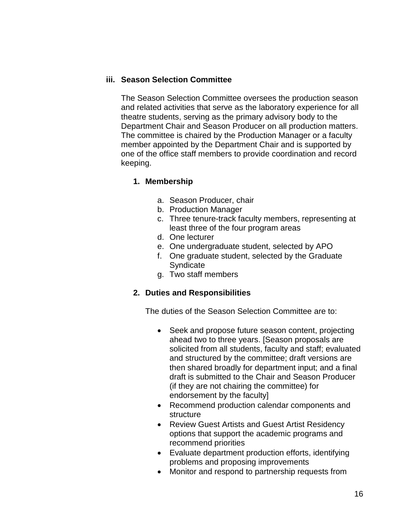#### **iii. Season Selection Committee**

The Season Selection Committee oversees the production season and related activities that serve as the laboratory experience for all theatre students, serving as the primary advisory body to the Department Chair and Season Producer on all production matters. The committee is chaired by the Production Manager or a faculty member appointed by the Department Chair and is supported by one of the office staff members to provide coordination and record keeping.

#### **1. Membership**

- a. Season Producer, chair
- b. Production Manager
- c. Three tenure-track faculty members, representing at least three of the four program areas
- d. One lecturer
- e. One undergraduate student, selected by APO
- f. One graduate student, selected by the Graduate Syndicate
- g. Two staff members

#### **2. Duties and Responsibilities**

The duties of the Season Selection Committee are to:

- Seek and propose future season content, projecting ahead two to three years. [Season proposals are solicited from all students, faculty and staff; evaluated and structured by the committee; draft versions are then shared broadly for department input; and a final draft is submitted to the Chair and Season Producer (if they are not chairing the committee) for endorsement by the faculty]
- Recommend production calendar components and structure
- Review Guest Artists and Guest Artist Residency options that support the academic programs and recommend priorities
- Evaluate department production efforts, identifying problems and proposing improvements
- Monitor and respond to partnership requests from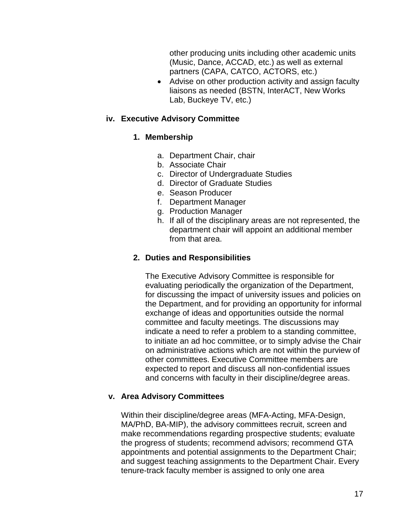other producing units including other academic units (Music, Dance, ACCAD, etc.) as well as external partners (CAPA, CATCO, ACTORS, etc.)

• Advise on other production activity and assign faculty liaisons as needed (BSTN, InterACT, New Works Lab, Buckeye TV, etc.)

#### **iv. Executive Advisory Committee**

#### **1. Membership**

- a. Department Chair, chair
- b. Associate Chair
- c. Director of Undergraduate Studies
- d. Director of Graduate Studies
- e. Season Producer
- f. Department Manager
- g. Production Manager
- h. If all of the disciplinary areas are not represented, the department chair will appoint an additional member from that area.

#### **2. Duties and Responsibilities**

The Executive Advisory Committee is responsible for evaluating periodically the organization of the Department, for discussing the impact of university issues and policies on the Department, and for providing an opportunity for informal exchange of ideas and opportunities outside the normal committee and faculty meetings. The discussions may indicate a need to refer a problem to a standing committee, to initiate an ad hoc committee, or to simply advise the Chair on administrative actions which are not within the purview of other committees. Executive Committee members are expected to report and discuss all non-confidential issues and concerns with faculty in their discipline/degree areas.

#### **v. Area Advisory Committees**

Within their discipline/degree areas (MFA-Acting, MFA-Design, MA/PhD, BA-MIP), the advisory committees recruit, screen and make recommendations regarding prospective students; evaluate the progress of students; recommend advisors; recommend GTA appointments and potential assignments to the Department Chair; and suggest teaching assignments to the Department Chair. Every tenure-track faculty member is assigned to only one area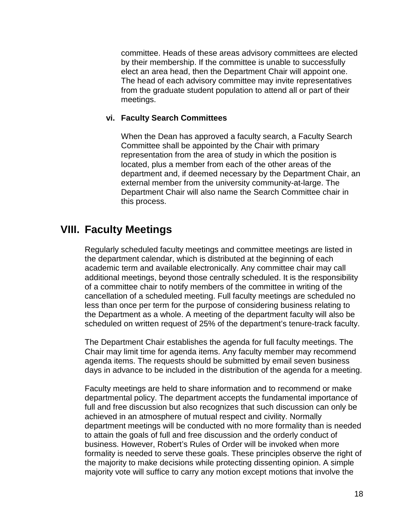committee. Heads of these areas advisory committees are elected by their membership. If the committee is unable to successfully elect an area head, then the Department Chair will appoint one. The head of each advisory committee may invite representatives from the graduate student population to attend all or part of their meetings.

#### **vi. Faculty Search Committees**

When the Dean has approved a faculty search, a Faculty Search Committee shall be appointed by the Chair with primary representation from the area of study in which the position is located, plus a member from each of the other areas of the department and, if deemed necessary by the Department Chair, an external member from the university community-at-large. The Department Chair will also name the Search Committee chair in this process.

## <span id="page-17-0"></span>**VIII. Faculty Meetings**

Regularly scheduled faculty meetings and committee meetings are listed in the department calendar, which is distributed at the beginning of each academic term and available electronically. Any committee chair may call additional meetings, beyond those centrally scheduled. It is the responsibility of a committee chair to notify members of the committee in writing of the cancellation of a scheduled meeting. Full faculty meetings are scheduled no less than once per term for the purpose of considering business relating to the Department as a whole. A meeting of the department faculty will also be scheduled on written request of 25% of the department's tenure-track faculty.

The Department Chair establishes the agenda for full faculty meetings. The Chair may limit time for agenda items. Any faculty member may recommend agenda items. The requests should be submitted by email seven business days in advance to be included in the distribution of the agenda for a meeting.

Faculty meetings are held to share information and to recommend or make departmental policy. The department accepts the fundamental importance of full and free discussion but also recognizes that such discussion can only be achieved in an atmosphere of mutual respect and civility. Normally department meetings will be conducted with no more formality than is needed to attain the goals of full and free discussion and the orderly conduct of business. However, Robert's Rules of Order will be invoked when more formality is needed to serve these goals. These principles observe the right of the majority to make decisions while protecting dissenting opinion. A simple majority vote will suffice to carry any motion except motions that involve the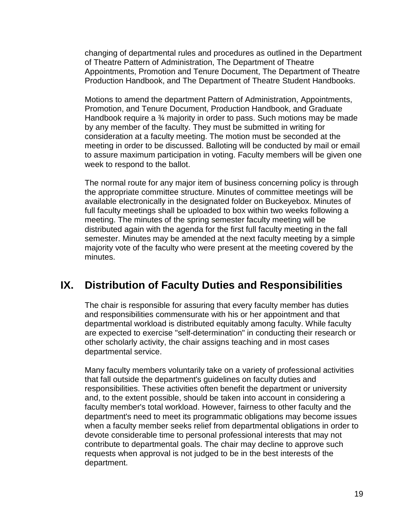changing of departmental rules and procedures as outlined in the Department of Theatre Pattern of Administration, The Department of Theatre Appointments, Promotion and Tenure Document, The Department of Theatre Production Handbook, and The Department of Theatre Student Handbooks.

Motions to amend the department Pattern of Administration, Appointments, Promotion, and Tenure Document, Production Handbook, and Graduate Handbook require a <sup>3</sup>/<sub>4</sub> majority in order to pass. Such motions may be made by any member of the faculty. They must be submitted in writing for consideration at a faculty meeting. The motion must be seconded at the meeting in order to be discussed. Balloting will be conducted by mail or email to assure maximum participation in voting. Faculty members will be given one week to respond to the ballot.

The normal route for any major item of business concerning policy is through the appropriate committee structure. Minutes of committee meetings will be available electronically in the designated folder on Buckeyebox. Minutes of full faculty meetings shall be uploaded to box within two weeks following a meeting. The minutes of the spring semester faculty meeting will be distributed again with the agenda for the first full faculty meeting in the fall semester. Minutes may be amended at the next faculty meeting by a simple majority vote of the faculty who were present at the meeting covered by the minutes.

## <span id="page-18-0"></span>**IX. Distribution of Faculty Duties and Responsibilities**

The chair is responsible for assuring that every faculty member has duties and responsibilities commensurate with his or her appointment and that departmental workload is distributed equitably among faculty. While faculty are expected to exercise "self-determination" in conducting their research or other scholarly activity, the chair assigns teaching and in most cases departmental service.

Many faculty members voluntarily take on a variety of professional activities that fall outside the department's guidelines on faculty duties and responsibilities. These activities often benefit the department or university and, to the extent possible, should be taken into account in considering a faculty member's total workload. However, fairness to other faculty and the department's need to meet its programmatic obligations may become issues when a faculty member seeks relief from departmental obligations in order to devote considerable time to personal professional interests that may not contribute to departmental goals. The chair may decline to approve such requests when approval is not judged to be in the best interests of the department.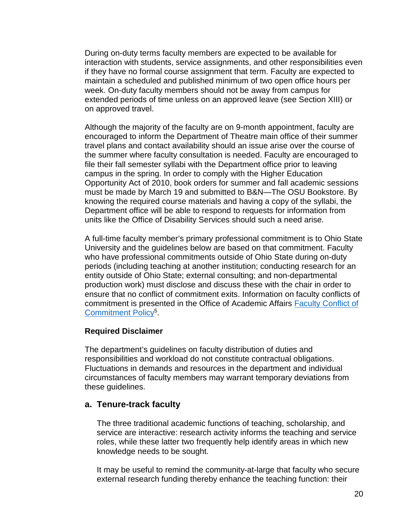During on-duty terms faculty members are expected to be available for interaction with students, service assignments, and other responsibilities even if they have no formal course assignment that term. Faculty are expected to maintain a scheduled and published minimum of two open office hours per week. On-duty faculty members should not be away from campus for extended periods of time unless on an approved leave (see Section XIII) or on approved travel.

Although the majority of the faculty are on 9-month appointment, faculty are encouraged to inform the Department of Theatre main office of their summer travel plans and contact availability should an issue arise over the course of the summer where faculty consultation is needed. Faculty are encouraged to file their fall semester syllabi with the Department office prior to leaving campus in the spring. In order to comply with the Higher Education Opportunity Act of 2010, book orders for summer and fall academic sessions must be made by March 19 and submitted to B&N—The OSU Bookstore. By knowing the required course materials and having a copy of the syllabi, the Department office will be able to respond to requests for information from units like the Office of Disability Services should such a need arise.

A full-time faculty member's primary professional commitment is to Ohio State University and the guidelines below are based on that commitment. Faculty who have professional commitments outside of Ohio State during on-duty periods (including teaching at another institution; conducting research for an entity outside of Ohio State; external consulting; and non-departmental production work) must disclose and discuss these with the chair in order to ensure that no conflict of commitment exits. Information on faculty conflicts of commitment is presented in the Office of Academic Affairs [Faculty Conflict of](http://oaa.osu.edu/assets/files/documents/conflcitofcommitment.pdf)  [Commitment](http://oaa.osu.edu/assets/files/documents/conflcitofcommitment.pdf) Policy<sup>5</sup>.

#### **Required Disclaimer**

The department's guidelines on faculty distribution of duties and responsibilities and workload do not constitute contractual obligations. Fluctuations in demands and resources in the department and individual circumstances of faculty members may warrant temporary deviations from these guidelines.

#### <span id="page-19-0"></span>**a. Tenure-track faculty**

The three traditional academic functions of teaching, scholarship, and service are interactive: research activity informs the teaching and service roles, while these latter two frequently help identify areas in which new knowledge needs to be sought.

It may be useful to remind the community-at-large that faculty who secure external research funding thereby enhance the teaching function: their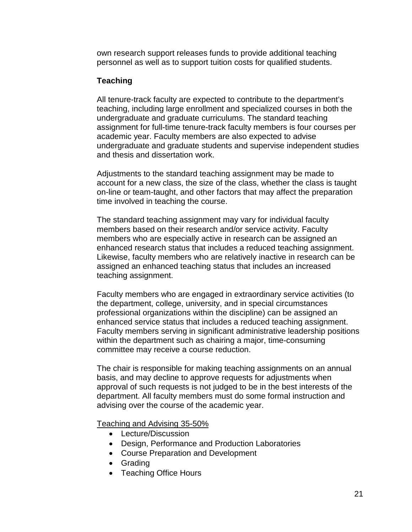own research support releases funds to provide additional teaching personnel as well as to support tuition costs for qualified students.

#### **Teaching**

All tenure-track faculty are expected to contribute to the department's teaching, including large enrollment and specialized courses in both the undergraduate and graduate curriculums. The standard teaching assignment for full-time tenure-track faculty members is four courses per academic year. Faculty members are also expected to advise undergraduate and graduate students and supervise independent studies and thesis and dissertation work.

Adjustments to the standard teaching assignment may be made to account for a new class, the size of the class, whether the class is taught on-line or team-taught, and other factors that may affect the preparation time involved in teaching the course.

The standard teaching assignment may vary for individual faculty members based on their research and/or service activity. Faculty members who are especially active in research can be assigned an enhanced research status that includes a reduced teaching assignment. Likewise, faculty members who are relatively inactive in research can be assigned an enhanced teaching status that includes an increased teaching assignment.

Faculty members who are engaged in extraordinary service activities (to the department, college, university, and in special circumstances professional organizations within the discipline) can be assigned an enhanced service status that includes a reduced teaching assignment. Faculty members serving in significant administrative leadership positions within the department such as chairing a major, time-consuming committee may receive a course reduction.

The chair is responsible for making teaching assignments on an annual basis, and may decline to approve requests for adjustments when approval of such requests is not judged to be in the best interests of the department. All faculty members must do some formal instruction and advising over the course of the academic year.

Teaching and Advising 35-50%

- Lecture/Discussion
- Design, Performance and Production Laboratories
- Course Preparation and Development
- Grading
- Teaching Office Hours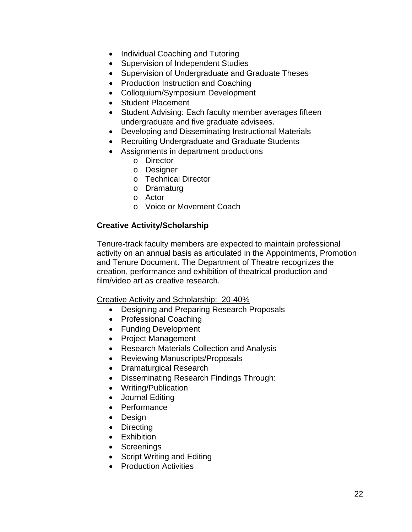- Individual Coaching and Tutoring
- Supervision of Independent Studies
- Supervision of Undergraduate and Graduate Theses
- Production Instruction and Coaching
- Colloquium/Symposium Development
- Student Placement
- Student Advising: Each faculty member averages fifteen undergraduate and five graduate advisees.
- Developing and Disseminating Instructional Materials
- Recruiting Undergraduate and Graduate Students
- Assignments in department productions
	- o Director
	- o Designer
	- o Technical Director
	- o Dramaturg
	- o Actor
	- o Voice or Movement Coach

#### **Creative Activity/Scholarship**

Tenure-track faculty members are expected to maintain professional activity on an annual basis as articulated in the Appointments, Promotion and Tenure Document. The Department of Theatre recognizes the creation, performance and exhibition of theatrical production and film/video art as creative research.

Creative Activity and Scholarship: 20-40%

- Designing and Preparing Research Proposals
- Professional Coaching
- Funding Development
- Project Management
- Research Materials Collection and Analysis
- Reviewing Manuscripts/Proposals
- Dramaturgical Research
- Disseminating Research Findings Through:
- Writing/Publication
- Journal Editing
- Performance
- Design
- Directing
- Exhibition
- Screenings
- Script Writing and Editing
- Production Activities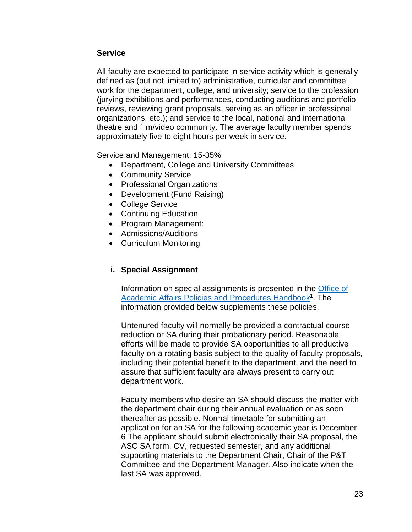#### **Service**

All faculty are expected to participate in service activity which is generally defined as (but not limited to) administrative, curricular and committee work for the department, college, and university; service to the profession (jurying exhibitions and performances, conducting auditions and portfolio reviews, reviewing grant proposals, serving as an officer in professional organizations, etc.); and service to the local, national and international theatre and film/video community. The average faculty member spends approximately five to eight hours per week in service.

Service and Management: 15-35%

- Department, College and University Committees
- Community Service
- Professional Organizations
- Development (Fund Raising)
- College Service
- Continuing Education
- Program Management:
- Admissions/Auditions
- Curriculum Monitoring

#### <span id="page-22-0"></span>**i. Special Assignment**

Information on special assignments is presented in the [Office of](http://oaa.osu.edu/assets/files/documents/specialassignment.pdf)  Academic Affairs Policies and Procedures Handbook<sup>1</sup>. The information provided below supplements these policies.

Untenured faculty will normally be provided a contractual course reduction or SA during their probationary period. Reasonable efforts will be made to provide SA opportunities to all productive faculty on a rotating basis subject to the quality of faculty proposals, including their potential benefit to the department, and the need to assure that sufficient faculty are always present to carry out department work.

Faculty members who desire an SA should discuss the matter with the department chair during their annual evaluation or as soon thereafter as possible. Normal timetable for submitting an application for an SA for the following academic year is December 6 The applicant should submit electronically their SA proposal, the ASC SA form, CV, requested semester, and any additional supporting materials to the Department Chair, Chair of the P&T Committee and the Department Manager. Also indicate when the last SA was approved.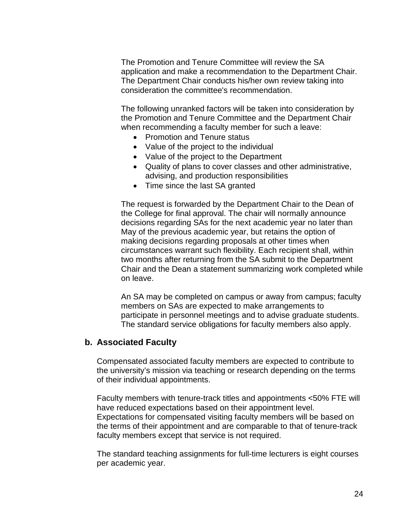The Promotion and Tenure Committee will review the SA application and make a recommendation to the Department Chair. The Department Chair conducts his/her own review taking into consideration the committee's recommendation.

The following unranked factors will be taken into consideration by the Promotion and Tenure Committee and the Department Chair when recommending a faculty member for such a leave:

- Promotion and Tenure status
- Value of the project to the individual
- Value of the project to the Department
- Quality of plans to cover classes and other administrative, advising, and production responsibilities
- Time since the last SA granted

The request is forwarded by the Department Chair to the Dean of the College for final approval. The chair will normally announce decisions regarding SAs for the next academic year no later than May of the previous academic year, but retains the option of making decisions regarding proposals at other times when circumstances warrant such flexibility. Each recipient shall, within two months after returning from the SA submit to the Department Chair and the Dean a statement summarizing work completed while on leave.

An SA may be completed on campus or away from campus; faculty members on SAs are expected to make arrangements to participate in personnel meetings and to advise graduate students. The standard service obligations for faculty members also apply.

#### <span id="page-23-0"></span>**b. Associated Faculty**

Compensated associated faculty members are expected to contribute to the university's mission via teaching or research depending on the terms of their individual appointments.

Faculty members with tenure-track titles and appointments <50% FTE will have reduced expectations based on their appointment level. Expectations for compensated visiting faculty members will be based on the terms of their appointment and are comparable to that of tenure-track faculty members except that service is not required.

The standard teaching assignments for full-time lecturers is eight courses per academic year.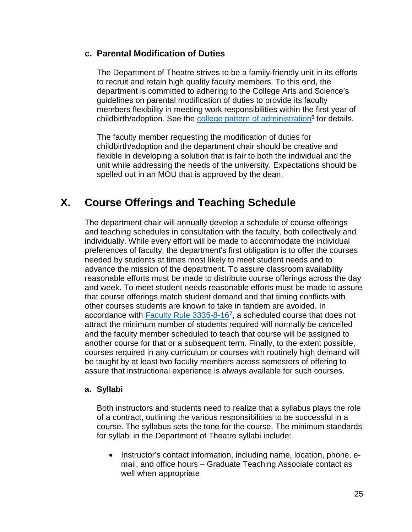#### <span id="page-24-0"></span>**c. Parental Modification of Duties**

The Department of Theatre strives to be a family-friendly unit in its efforts to recruit and retain high quality faculty members. To this end, the department is committed to adhering to the College Arts and Science's guidelines on parental modification of duties to provide its faculty members flexibility in meeting work responsibilities within the first year of childbirth/adoption. See the college pattern of administration<sup>6</sup> for details.

The faculty member requesting the modification of duties for childbirth/adoption and the department chair should be creative and flexible in developing a solution that is fair to both the individual and the unit while addressing the needs of the university. Expectations should be spelled out in an MOU that is approved by the dean.

## <span id="page-24-1"></span>**X. Course Offerings and Teaching Schedule**

The department chair will annually develop a schedule of course offerings and teaching schedules in consultation with the faculty, both collectively and individually. While every effort will be made to accommodate the individual preferences of faculty, the department's first obligation is to offer the courses needed by students at times most likely to meet student needs and to advance the mission of the department. To assure classroom availability reasonable efforts must be made to distribute course offerings across the day and week. To meet student needs reasonable efforts must be made to assure that course offerings match student demand and that timing conflicts with other courses students are known to take in tandem are avoided. In accordance with Faculty Rule  $3335-8-16^7$ , a scheduled course that does not attract the minimum number of students required will normally be cancelled and the faculty member scheduled to teach that course will be assigned to another course for that or a subsequent term. Finally, to the extent possible, courses required in any curriculum or courses with routinely high demand will be taught by at least two faculty members across semesters of offering to assure that instructional experience is always available for such courses.

#### **a. Syllabi**

Both instructors and students need to realize that a syllabus plays the role of a contract, outlining the various responsibilities to be successful in a course. The syllabus sets the tone for the course. The minimum standards for syllabi in the Department of Theatre syllabi include:

• Instructor's contact information, including name, location, phone, email, and office hours – Graduate Teaching Associate contact as well when appropriate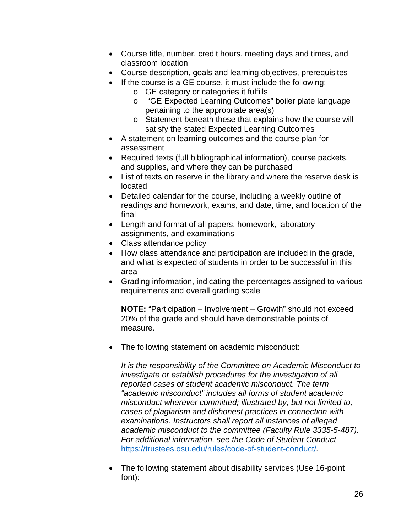- Course title, number, credit hours, meeting days and times, and classroom location
- Course description, goals and learning objectives, prerequisites
- If the course is a GE course, it must include the following:
	- o GE category or categories it fulfills
	- o "GE Expected Learning Outcomes" boiler plate language pertaining to the appropriate area(s)
	- o Statement beneath these that explains how the course will satisfy the stated Expected Learning Outcomes
- A statement on learning outcomes and the course plan for assessment
- Required texts (full bibliographical information), course packets, and supplies, and where they can be purchased
- List of texts on reserve in the library and where the reserve desk is located
- Detailed calendar for the course, including a weekly outline of readings and homework, exams, and date, time, and location of the final
- Length and format of all papers, homework, laboratory assignments, and examinations
- Class attendance policy
- How class attendance and participation are included in the grade, and what is expected of students in order to be successful in this area
- Grading information, indicating the percentages assigned to various requirements and overall grading scale

**NOTE:** "Participation – Involvement – Growth" should not exceed 20% of the grade and should have demonstrable points of measure.

• The following statement on academic misconduct:

*It is the responsibility of the Committee on Academic Misconduct to investigate or establish procedures for the investigation of all reported cases of student academic misconduct. The term "academic misconduct" includes all forms of student academic misconduct wherever committed; illustrated by, but not limited to, cases of plagiarism and dishonest practices in connection with examinations. Instructors shall report all instances of alleged academic misconduct to the committee (Faculty Rule 3335-5-487). For additional information, see the Code of Student Conduct*  <https://trustees.osu.edu/rules/code-of-student-conduct/>*.* 

• The following statement about disability services (Use 16-point font):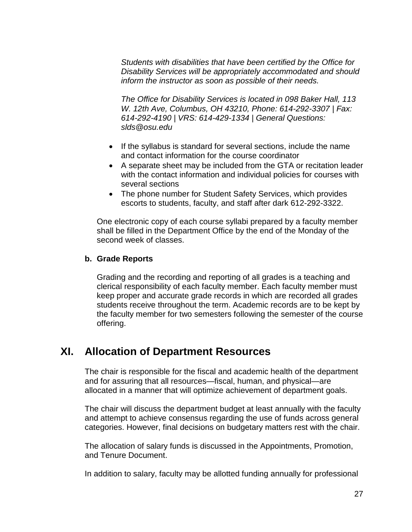*Students with disabilities that have been certified by the Office for Disability Services will be appropriately accommodated and should inform the instructor as soon as possible of their needs.*

*The Office for Disability Services is located in 098 Baker Hall, 113 W. 12th Ave, Columbus, OH 43210, Phone: 614-292-3307 | Fax: 614-292-4190 | VRS: 614-429-1334 | General Questions: slds@osu.edu*

- If the syllabus is standard for several sections, include the name and contact information for the course coordinator
- A separate sheet may be included from the GTA or recitation leader with the contact information and individual policies for courses with several sections
- The phone number for Student Safety Services, which provides escorts to students, faculty, and staff after dark 612-292-3322.

One electronic copy of each course syllabi prepared by a faculty member shall be filled in the Department Office by the end of the Monday of the second week of classes.

#### **b. Grade Reports**

Grading and the recording and reporting of all grades is a teaching and clerical responsibility of each faculty member. Each faculty member must keep proper and accurate grade records in which are recorded all grades students receive throughout the term. Academic records are to be kept by the faculty member for two semesters following the semester of the course offering.

## <span id="page-26-0"></span>**XI. Allocation of Department Resources**

The chair is responsible for the fiscal and academic health of the department and for assuring that all resources—fiscal, human, and physical—are allocated in a manner that will optimize achievement of department goals.

The chair will discuss the department budget at least annually with the faculty and attempt to achieve consensus regarding the use of funds across general categories. However, final decisions on budgetary matters rest with the chair.

The allocation of salary funds is discussed in the Appointments, Promotion, and Tenure Document.

In addition to salary, faculty may be allotted funding annually for professional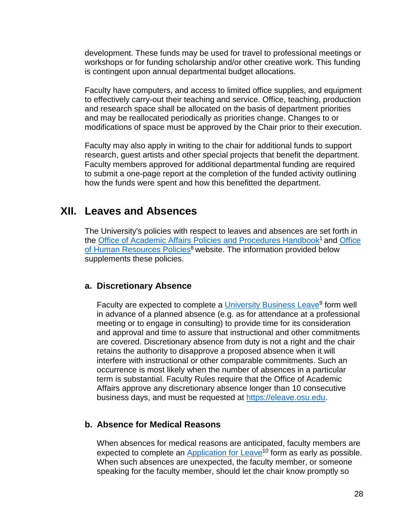development. These funds may be used for travel to professional meetings or workshops or for funding scholarship and/or other creative work. This funding is contingent upon annual departmental budget allocations.

Faculty have computers, and access to limited office supplies, and equipment to effectively carry-out their teaching and service. Office, teaching, production and research space shall be allocated on the basis of department priorities and may be reallocated periodically as priorities change. Changes to or modifications of space must be approved by the Chair prior to their execution.

Faculty may also apply in writing to the chair for additional funds to support research, guest artists and other special projects that benefit the department. Faculty members approved for additional departmental funding are required to submit a one-page report at the completion of the funded activity outlining how the funds were spent and how this benefitted the department.

## <span id="page-27-0"></span>**XII. Leaves and Absences**

The University's policies with respect to leaves and absences are set forth in the [Office](https://hr.osu.edu/policies-forms) of Academic Affairs Policies and Procedures Handbook<sup>1</sup> and Office of Human Resources Policies<sup>8</sup> website. The information provided below supplements these policies.

#### <span id="page-27-1"></span>**a. Discretionary Absence**

Faculty are expected to complete a University Business Leave<sup>9</sup> form well in advance of a planned absence (e.g. as for attendance at a professional meeting or to engage in consulting) to provide time for its consideration and approval and time to assure that instructional and other commitments are covered. Discretionary absence from duty is not a right and the chair retains the authority to disapprove a proposed absence when it will interfere with instructional or other comparable commitments. Such an occurrence is most likely when the number of absences in a particular term is substantial. Faculty Rules require that the Office of Academic Affairs approve any discretionary absence longer than 10 consecutive business days, and must be requested at [https://eleave.osu.edu.](https://eleave.osu.edu/)

#### <span id="page-27-2"></span>**b. Absence for Medical Reasons**

When absences for medical reasons are anticipated, faculty members are expected to complete an Application for Leave<sup>10</sup> form as early as possible. When such absences are unexpected, the faculty member, or someone speaking for the faculty member, should let the chair know promptly so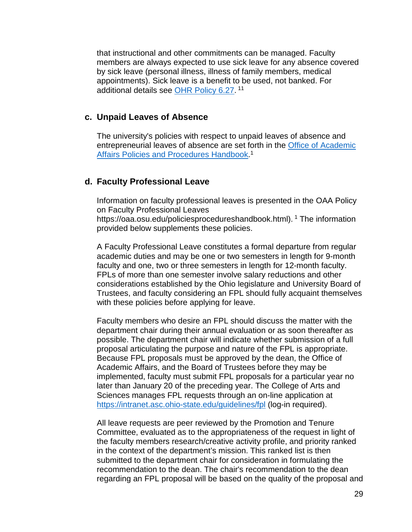that instructional and other commitments can be managed. Faculty members are always expected to use sick leave for any absence covered by sick leave (personal illness, illness of family members, medical appointments). Sick leave is a benefit to be used, not banked. For additional details see [OHR Policy 6.27.](https://hr.osu.edu/public/documents/policy/policy627.pdf)<sup>11</sup>

#### <span id="page-28-0"></span>**c. Unpaid Leaves of Absence**

The university's policies with respect to unpaid leaves of absence and entrepreneurial leaves of absence are set forth in the [Office of Academic](http://oaa.osu.edu/handbook.html)  [Affairs Policies and Procedures Handbook.](http://oaa.osu.edu/handbook.html)<sup>1</sup>

#### <span id="page-28-1"></span>**d. Faculty Professional Leave**

Information on faculty professional leaves is presented in the OAA Policy on Faculty Professional Leaves https://oaa.osu.edu/policiesprocedureshandbook.html).<sup>1</sup> The information provided below supplements these policies.

A Faculty Professional Leave constitutes a formal departure from regular academic duties and may be one or two semesters in length for 9-month faculty and one, two or three semesters in length for 12-month faculty. FPLs of more than one semester involve salary reductions and other considerations established by the Ohio legislature and University Board of Trustees, and faculty considering an FPL should fully acquaint themselves with these policies before applying for leave.

Faculty members who desire an FPL should discuss the matter with the department chair during their annual evaluation or as soon thereafter as possible. The department chair will indicate whether submission of a full proposal articulating the purpose and nature of the FPL is appropriate. Because FPL proposals must be approved by the dean, the Office of Academic Affairs, and the Board of Trustees before they may be implemented, faculty must submit FPL proposals for a particular year no later than January 20 of the preceding year. The College of Arts and Sciences manages FPL requests through an on-line application at <https://intranet.asc.ohio-state.edu/guidelines/fpl> (log-in required).

All leave requests are peer reviewed by the Promotion and Tenure Committee, evaluated as to the appropriateness of the request in light of the faculty members research/creative activity profile, and priority ranked in the context of the department's mission. This ranked list is then submitted to the department chair for consideration in formulating the recommendation to the dean. The chair's recommendation to the dean regarding an FPL proposal will be based on the quality of the proposal and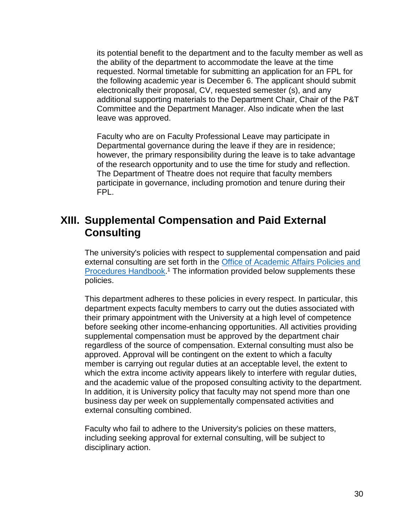its potential benefit to the department and to the faculty member as well as the ability of the department to accommodate the leave at the time requested. Normal timetable for submitting an application for an FPL for the following academic year is December 6. The applicant should submit electronically their proposal, CV, requested semester (s), and any additional supporting materials to the Department Chair, Chair of the P&T Committee and the Department Manager. Also indicate when the last leave was approved.

Faculty who are on Faculty Professional Leave may participate in Departmental governance during the leave if they are in residence; however, the primary responsibility during the leave is to take advantage of the research opportunity and to use the time for study and reflection. The Department of Theatre does not require that faculty members participate in governance, including promotion and tenure during their FPL.

## <span id="page-29-0"></span>**XIII. Supplemental Compensation and Paid External Consulting**

The university's policies with respect to supplemental compensation and paid external consulting are set forth in the [Office of Academic Affairs Policies and](http://oaa.osu.edu/handbook.html)  [Procedures Handbook.](http://oaa.osu.edu/handbook.html)<sup>1</sup> The information provided below supplements these policies.

This department adheres to these policies in every respect. In particular, this department expects faculty members to carry out the duties associated with their primary appointment with the University at a high level of competence before seeking other income-enhancing opportunities. All activities providing supplemental compensation must be approved by the department chair regardless of the source of compensation. External consulting must also be approved. Approval will be contingent on the extent to which a faculty member is carrying out regular duties at an acceptable level, the extent to which the extra income activity appears likely to interfere with regular duties, and the academic value of the proposed consulting activity to the department. In addition, it is University policy that faculty may not spend more than one business day per week on supplementally compensated activities and external consulting combined.

Faculty who fail to adhere to the University's policies on these matters, including seeking approval for external consulting, will be subject to disciplinary action.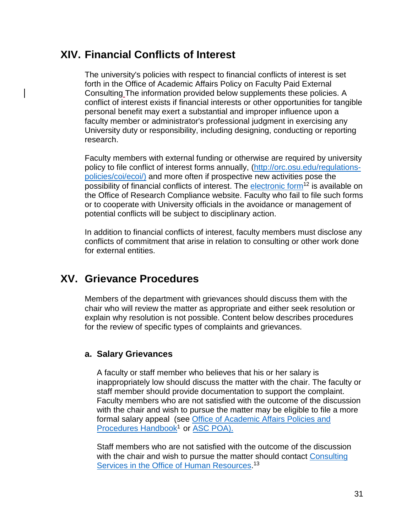## <span id="page-30-0"></span>**XIV. Financial Conflicts of Interest**

The university's policies with respect to financial conflicts of interest is set forth in the Office of Academic Affairs Policy on Faculty Paid External Consulting The information provided below supplements these policies. A conflict of interest exists if financial interests or other opportunities for tangible personal benefit may exert a substantial and improper influence upon a faculty member or administrator's professional judgment in exercising any University duty or responsibility, including designing, conducting or reporting research.

Faculty members with external funding or otherwise are required by university policy to file conflict of interest forms annually, [\(http://orc.osu.edu/regulations](http://orc.osu.edu/regulations-policies/coi/ecoi/)[policies/coi/ecoi/\)](http://orc.osu.edu/regulations-policies/coi/ecoi/) and more often if prospective new activities pose the possibility of financial conflicts of interest. The electronic form<sup>12</sup> is available on the Office of Research Compliance website. Faculty who fail to file such forms or to cooperate with University officials in the avoidance or management of potential conflicts will be subject to disciplinary action.

In addition to financial conflicts of interest, faculty members must disclose any conflicts of commitment that arise in relation to consulting or other work done for external entities.

## <span id="page-30-1"></span>**XV. Grievance Procedures**

Members of the department with grievances should discuss them with the chair who will review the matter as appropriate and either seek resolution or explain why resolution is not possible. Content below describes procedures for the review of specific types of complaints and grievances.

#### <span id="page-30-2"></span>**a. Salary Grievances**

A faculty or staff member who believes that his or her salary is inappropriately low should discuss the matter with the chair. The faculty or staff member should provide documentation to support the complaint. Faculty members who are not satisfied with the outcome of the discussion with the chair and wish to pursue the matter may be eligible to file a more formal salary appeal (see [Office of Academic Affairs Policies and](http://oaa.osu.edu/handbook.html)  Procedures Handbook<sup>1</sup> or [ASC POA\).](https://oaa.osu.edu/assets/files/governance/college-of-arts-and-sciences/ASC_POA_2017-01-15.pdf)

Staff members who are not satisfied with the outcome of the discussion with the chair and wish to pursue the matter should contact Consulting [Services in the Office of Human Resources.](http://hr.osu.edu/elr/)<sup>13</sup>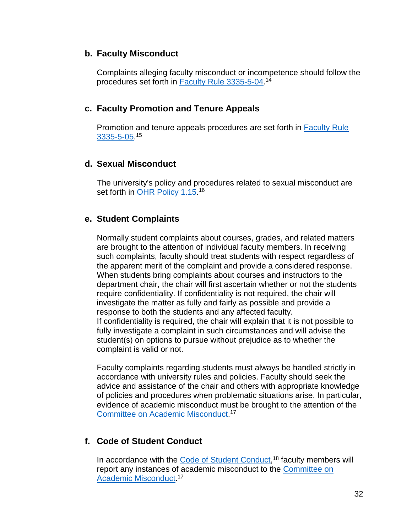#### <span id="page-31-0"></span>**b. Faculty Misconduct**

Complaints alleging faculty misconduct or incompetence should follow the procedures set forth in <u>Faculty Rule 3335-5-04</u>.14

#### <span id="page-31-1"></span>**c. Faculty Promotion and Tenure Appeals**

Promotion and tenure appeals procedures are set forth in [Faculty Rule](https://trustees.osu.edu/index.php?q=rules/university-rules/chapter-3335-5-faculty-governance-and-committees.html)  [3335-5-05.](https://trustees.osu.edu/index.php?q=rules/university-rules/chapter-3335-5-faculty-governance-and-committees.html) 15

#### <span id="page-31-2"></span>**d. Sexual Misconduct**

The university's policy and procedures related to sexual misconduct are set forth in <u>OHR Policy 1.15</u>.16

#### <span id="page-31-3"></span>**e. Student Complaints**

Normally student complaints about courses, grades, and related matters are brought to the attention of individual faculty members. In receiving such complaints, faculty should treat students with respect regardless of the apparent merit of the complaint and provide a considered response. When students bring complaints about courses and instructors to the department chair, the chair will first ascertain whether or not the students require confidentiality. If confidentiality is not required, the chair will investigate the matter as fully and fairly as possible and provide a response to both the students and any affected faculty. If confidentiality is required, the chair will explain that it is not possible to fully investigate a complaint in such circumstances and will advise the student(s) on options to pursue without prejudice as to whether the complaint is valid or not.

Faculty complaints regarding students must always be handled strictly in accordance with university rules and policies. Faculty should seek the advice and assistance of the chair and others with appropriate knowledge of policies and procedures when problematic situations arise. In particular, evidence of academic misconduct must be brought to the attention of the [Committee on Academic Misconduct.](http://oaa.osu.edu/coam.html)<sup>17</sup>

#### <span id="page-31-4"></span>**f. Code of Student Conduct**

In accordance with the [Code of Student Conduct,](https://trustees.osu.edu/rules/code-of-student-conduct/)<sup>18</sup> faculty members will report any instances of academic misconduct to the [Committee on](http://oaa.osu.edu/coam.html)  [Academic Misconduct.](http://oaa.osu.edu/coam.html)<sup>17</sup>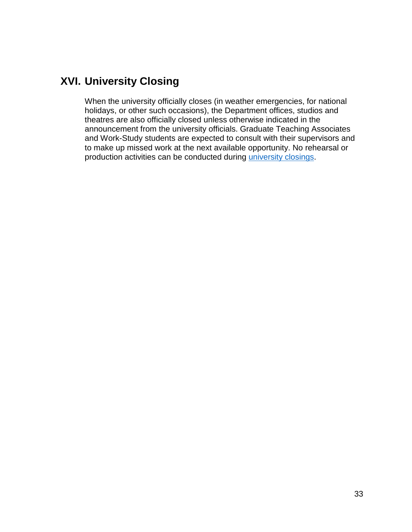## <span id="page-32-0"></span>**XVI. University Closing**

When the university officially closes (in weather emergencies, for national holidays, or other such occasions), the Department offices, studios and theatres are also officially closed unless otherwise indicated in the announcement from the university officials. Graduate Teaching Associates and Work-Study students are expected to consult with their supervisors and to make up missed work at the next available opportunity. No rehearsal or production activities can be conducted during [university closings.](https://hr.osu.edu/public/documents/policy/policy615.pdf)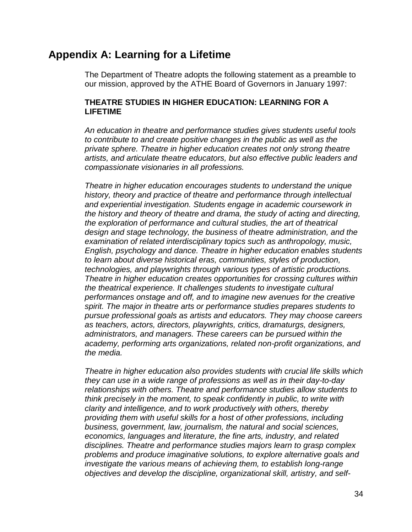## <span id="page-33-0"></span>**Appendix A: Learning for a Lifetime**

The Department of Theatre adopts the following statement as a preamble to our mission, approved by the ATHE Board of Governors in January 1997:

#### **THEATRE STUDIES IN HIGHER EDUCATION: LEARNING FOR A LIFETIME**

*An education in theatre and performance studies gives students useful tools to contribute to and create positive changes in the public as well as the private sphere. Theatre in higher education creates not only strong theatre artists, and articulate theatre educators, but also effective public leaders and compassionate visionaries in all professions.*

*Theatre in higher education encourages students to understand the unique history, theory and practice of theatre and performance through intellectual and experiential investigation. Students engage in academic coursework in the history and theory of theatre and drama, the study of acting and directing, the exploration of performance and cultural studies, the art of theatrical design and stage technology, the business of theatre administration, and the examination of related interdisciplinary topics such as anthropology, music, English, psychology and dance. Theatre in higher education enables students to learn about diverse historical eras, communities, styles of production, technologies, and playwrights through various types of artistic productions. Theatre in higher education creates opportunities for crossing cultures within the theatrical experience. It challenges students to investigate cultural performances onstage and off, and to imagine new avenues for the creative spirit. The major in theatre arts or performance studies prepares students to pursue professional goals as artists and educators. They may choose careers as teachers, actors, directors, playwrights, critics, dramaturgs, designers, administrators, and managers. These careers can be pursued within the academy, performing arts organizations, related non-profit organizations, and the media.*

*Theatre in higher education also provides students with crucial life skills which they can use in a wide range of professions as well as in their day-to-day relationships with others. Theatre and performance studies allow students to think precisely in the moment, to speak confidently in public, to write with clarity and intelligence, and to work productively with others, thereby providing them with useful skills for a host of other professions, including business, government, law, journalism, the natural and social sciences, economics, languages and literature, the fine arts, industry, and related disciplines. Theatre and performance studies majors learn to grasp complex problems and produce imaginative solutions, to explore alternative goals and investigate the various means of achieving them, to establish long-range objectives and develop the discipline, organizational skill, artistry, and self-*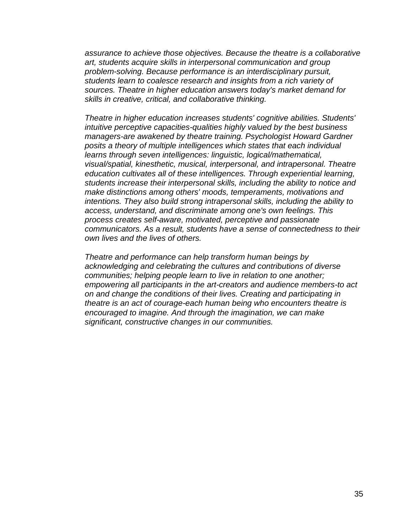*assurance to achieve those objectives. Because the theatre is a collaborative art, students acquire skills in interpersonal communication and group problem-solving. Because performance is an interdisciplinary pursuit, students learn to coalesce research and insights from a rich variety of sources. Theatre in higher education answers today's market demand for skills in creative, critical, and collaborative thinking.*

*Theatre in higher education increases students' cognitive abilities. Students' intuitive perceptive capacities-qualities highly valued by the best business managers-are awakened by theatre training. Psychologist Howard Gardner posits a theory of multiple intelligences which states that each individual learns through seven intelligences: linguistic, logical/mathematical, visual/spatial, kinesthetic, musical, interpersonal, and intrapersonal. Theatre education cultivates all of these intelligences. Through experiential learning, students increase their interpersonal skills, including the ability to notice and make distinctions among others' moods, temperaments, motivations and intentions. They also build strong intrapersonal skills, including the ability to access, understand, and discriminate among one's own feelings. This process creates self-aware, motivated, perceptive and passionate communicators. As a result, students have a sense of connectedness to their own lives and the lives of others.*

*Theatre and performance can help transform human beings by acknowledging and celebrating the cultures and contributions of diverse communities; helping people learn to live in relation to one another; empowering all participants in the art-creators and audience members-to act on and change the conditions of their lives. Creating and participating in theatre is an act of courage-each human being who encounters theatre is encouraged to imagine. And through the imagination, we can make significant, constructive changes in our communities.*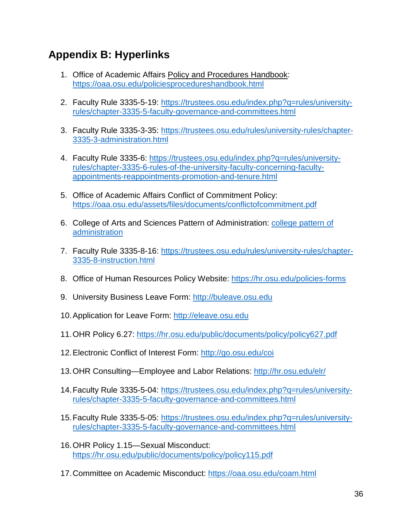## <span id="page-35-0"></span>**Appendix B: Hyperlinks**

- 1. Office of Academic Affairs Policy and Procedures Handbook: <https://oaa.osu.edu/policiesprocedureshandbook.html>
- 2. Faculty Rule 3335-5-19: [https://trustees.osu.edu/index.php?q=rules/university](https://trustees.osu.edu/index.php?q=rules/university-rules/chapter-3335-5-faculty-governance-and-committees.html)[rules/chapter-3335-5-faculty-governance-and-committees.html](https://trustees.osu.edu/index.php?q=rules/university-rules/chapter-3335-5-faculty-governance-and-committees.html)
- 3. Faculty Rule 3335-3-35: [https://trustees.osu.edu/rules/university-rules/chapter-](https://trustees.osu.edu/rules/university-rules/chapter-3335-3-administration.html)[3335-3-administration.html](https://trustees.osu.edu/rules/university-rules/chapter-3335-3-administration.html)
- 4. Faculty Rule 3335-6: [https://trustees.osu.edu/index.php?q=rules/university](https://trustees.osu.edu/index.php?q=rules/university-rules/chapter-3335-6-rules-of-the-university-faculty-concerning-faculty-appointments-reappointments-promotion-and-tenure.html)[rules/chapter-3335-6-rules-of-the-university-faculty-concerning-faculty](https://trustees.osu.edu/index.php?q=rules/university-rules/chapter-3335-6-rules-of-the-university-faculty-concerning-faculty-appointments-reappointments-promotion-and-tenure.html)[appointments-reappointments-promotion-and-tenure.html](https://trustees.osu.edu/index.php?q=rules/university-rules/chapter-3335-6-rules-of-the-university-faculty-concerning-faculty-appointments-reappointments-promotion-and-tenure.html)
- 5. Office of Academic Affairs Conflict of Commitment Policy: <https://oaa.osu.edu/assets/files/documents/conflictofcommitment.pdf>
- 6. College of Arts and Sciences Pattern of Administration: [college pattern of](http://oaa.osu.edu/governance.html)  [administration](http://oaa.osu.edu/governance.html)
- 7. Faculty Rule 3335-8-16: https://trustees.osu.edu/rules/university-rules/chapter-3335-8-instruction.html
- 8. Office of Human Resources Policy Website:<https://hr.osu.edu/policies-forms>
- 9. University Business Leave Form: [http://buleave.osu.edu](http://buleave.osu.edu/)
- 10.Application for Leave Form: [http://eleave.osu.edu](http://eleave.osu.edu/)
- 11.OHR Policy 6.27:<https://hr.osu.edu/public/documents/policy/policy627.pdf>
- 12.Electronic Conflict of Interest Form:<http://go.osu.edu/coi>
- 13.OHR Consulting—Employee and Labor Relations:<http://hr.osu.edu/elr/>
- 14.Faculty Rule 3335-5-04: [https://trustees.osu.edu/index.php?q=rules/university](https://trustees.osu.edu/index.php?q=rules/university-rules/chapter-3335-5-faculty-governance-and-committees.html)[rules/chapter-3335-5-faculty-governance-and-committees.html](https://trustees.osu.edu/index.php?q=rules/university-rules/chapter-3335-5-faculty-governance-and-committees.html)
- 15.Faculty Rule 3335-5-05: [https://trustees.osu.edu/index.php?q=rules/university](https://trustees.osu.edu/index.php?q=rules/university-rules/chapter-3335-5-faculty-governance-and-committees.html)[rules/chapter-3335-5-faculty-governance-and-committees.html](https://trustees.osu.edu/index.php?q=rules/university-rules/chapter-3335-5-faculty-governance-and-committees.html)
- 16.OHR Policy 1.15—Sexual Misconduct: <https://hr.osu.edu/public/documents/policy/policy115.pdf>
- 17.Committee on Academic Misconduct:<https://oaa.osu.edu/coam.html>